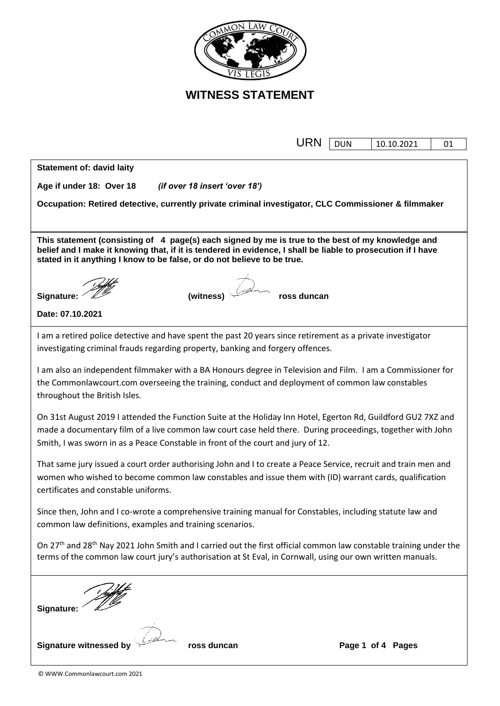

f

|                                                                                                                                                                                                                                                                                              | <b>URN</b>  | <b>DUN</b> | 10.10.2021        | 01 |  |  |  |  |
|----------------------------------------------------------------------------------------------------------------------------------------------------------------------------------------------------------------------------------------------------------------------------------------------|-------------|------------|-------------------|----|--|--|--|--|
| <b>Statement of: david laity</b>                                                                                                                                                                                                                                                             |             |            |                   |    |  |  |  |  |
| Age if under 18: Over 18<br>(if over 18 insert 'over 18')                                                                                                                                                                                                                                    |             |            |                   |    |  |  |  |  |
|                                                                                                                                                                                                                                                                                              |             |            |                   |    |  |  |  |  |
| Occupation: Retired detective, currently private criminal investigator, CLC Commissioner & filmmaker                                                                                                                                                                                         |             |            |                   |    |  |  |  |  |
|                                                                                                                                                                                                                                                                                              |             |            |                   |    |  |  |  |  |
| This statement (consisting of 4 page(s) each signed by me is true to the best of my knowledge and<br>belief and I make it knowing that, if it is tendered in evidence, I shall be liable to prosecution if I have<br>stated in it anything I know to be false, or do not believe to be true. |             |            |                   |    |  |  |  |  |
|                                                                                                                                                                                                                                                                                              |             |            |                   |    |  |  |  |  |
| (witness)<br>Signature:                                                                                                                                                                                                                                                                      | ross duncan |            |                   |    |  |  |  |  |
| Date: 07.10.2021                                                                                                                                                                                                                                                                             |             |            |                   |    |  |  |  |  |
| I am a retired police detective and have spent the past 20 years since retirement as a private investigator                                                                                                                                                                                  |             |            |                   |    |  |  |  |  |
| investigating criminal frauds regarding property, banking and forgery offences.                                                                                                                                                                                                              |             |            |                   |    |  |  |  |  |
| I am also an independent filmmaker with a BA Honours degree in Television and Film. I am a Commissioner for                                                                                                                                                                                  |             |            |                   |    |  |  |  |  |
| the Commonlawcourt.com overseeing the training, conduct and deployment of common law constables                                                                                                                                                                                              |             |            |                   |    |  |  |  |  |
| throughout the British Isles.                                                                                                                                                                                                                                                                |             |            |                   |    |  |  |  |  |
| On 31st August 2019 I attended the Function Suite at the Holiday Inn Hotel, Egerton Rd, Guildford GU2 7XZ and                                                                                                                                                                                |             |            |                   |    |  |  |  |  |
| made a documentary film of a live common law court case held there. During proceedings, together with John<br>Smith, I was sworn in as a Peace Constable in front of the court and jury of 12.                                                                                               |             |            |                   |    |  |  |  |  |
| That same jury issued a court order authorising John and I to create a Peace Service, recruit and train men and                                                                                                                                                                              |             |            |                   |    |  |  |  |  |
| women who wished to become common law constables and issue them with (ID) warrant cards, qualification                                                                                                                                                                                       |             |            |                   |    |  |  |  |  |
| certificates and constable uniforms.                                                                                                                                                                                                                                                         |             |            |                   |    |  |  |  |  |
| Since then, John and I co-wrote a comprehensive training manual for Constables, including statute law and                                                                                                                                                                                    |             |            |                   |    |  |  |  |  |
| common law definitions, examples and training scenarios.                                                                                                                                                                                                                                     |             |            |                   |    |  |  |  |  |
| On 27 <sup>th</sup> and 28 <sup>th</sup> Nay 2021 John Smith and I carried out the first official common law constable training under the                                                                                                                                                    |             |            |                   |    |  |  |  |  |
| terms of the common law court jury's authorisation at St Eval, in Cornwall, using our own written manuals.                                                                                                                                                                                   |             |            |                   |    |  |  |  |  |
|                                                                                                                                                                                                                                                                                              |             |            |                   |    |  |  |  |  |
|                                                                                                                                                                                                                                                                                              |             |            |                   |    |  |  |  |  |
| Signature:                                                                                                                                                                                                                                                                                   |             |            |                   |    |  |  |  |  |
|                                                                                                                                                                                                                                                                                              |             |            |                   |    |  |  |  |  |
| <b>Signature witnessed by</b><br>ross duncan                                                                                                                                                                                                                                                 |             |            | Page 1 of 4 Pages |    |  |  |  |  |
|                                                                                                                                                                                                                                                                                              |             |            |                   |    |  |  |  |  |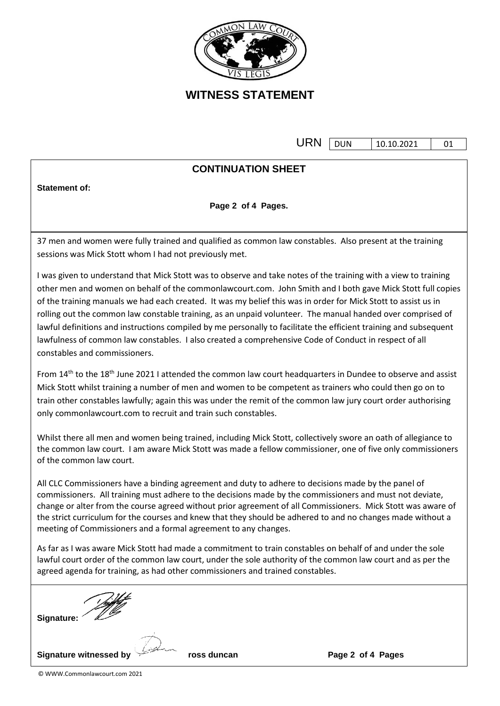

under der Stadt der Stadt der Stadt der Stadt der Stadt der Stadt der Stadt der Stadt der Stadt der Stadt der DUN 10.10.2021 01

### **CONTINUATION SHEET**

**Statement of:** 

**Page 2 of 4 Pages.**

37 men and women were fully trained and qualified as common law constables. Also present at the training sessions was Mick Stott whom I had not previously met.

I was given to understand that Mick Stott was to observe and take notes of the training with a view to training other men and women on behalf of the commonlawcourt.com. John Smith and I both gave Mick Stott full copies of the training manuals we had each created. It was my belief this was in order for Mick Stott to assist us in rolling out the common law constable training, as an unpaid volunteer. The manual handed over comprised of lawful definitions and instructions compiled by me personally to facilitate the efficient training and subsequent lawfulness of common law constables. I also created a comprehensive Code of Conduct in respect of all constables and commissioners.

From 14<sup>th</sup> to the 18<sup>th</sup> June 2021 I attended the common law court headquarters in Dundee to observe and assist Mick Stott whilst training a number of men and women to be competent as trainers who could then go on to train other constables lawfully; again this was under the remit of the common law jury court order authorising only commonlawcourt.com to recruit and train such constables.

Whilst there all men and women being trained, including Mick Stott, collectively swore an oath of allegiance to the common law court. I am aware Mick Stott was made a fellow commissioner, one of five only commissioners of the common law court.

All CLC Commissioners have a binding agreement and duty to adhere to decisions made by the panel of commissioners. All training must adhere to the decisions made by the commissioners and must not deviate, change or alter from the course agreed without prior agreement of all Commissioners. Mick Stott was aware of the strict curriculum for the courses and knew that they should be adhered to and no changes made without a meeting of Commissioners and a formal agreement to any changes.

As far as I was aware Mick Stott had made a commitment to train constables on behalf of and under the sole lawful court order of the common law court, under the sole authority of the common law court and as per the agreed agenda for training, as had other commissioners and trained constables.

| <b>Signature:</b> |                |
|-------------------|----------------|
|                   | <b>Service</b> |

**Signature witnessed by ross duncan Page 2 of 4 Pages**

© WWW.Commonlawcourt.com 2021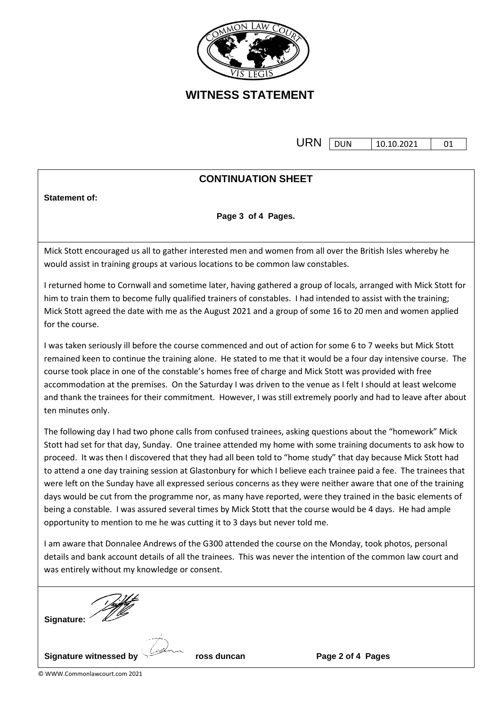

**URN** DUN 10.10.2021 01

#### **CONTINUATION SHEET**

**Statement of:** 

**Page 3 of 4 Pages.**

Mick Stott encouraged us all to gather interested men and women from all over the British Isles whereby he would assist in training groups at various locations to be common law constables.

I returned home to Cornwall and sometime later, having gathered a group of locals, arranged with Mick Stott for him to train them to become fully qualified trainers of constables. I had intended to assist with the training; Mick Stott agreed the date with me as the August 2021 and a group of some 16 to 20 men and women applied for the course.

I was taken seriously ill before the course commenced and out of action for some 6 to 7 weeks but Mick Stott remained keen to continue the training alone. He stated to me that it would be a four day intensive course. The course took place in one of the constable's homes free of charge and Mick Stott was provided with free accommodation at the premises. On the Saturday I was driven to the venue as I felt I should at least welcome and thank the trainees for their commitment. However, I was still extremely poorly and had to leave after about ten minutes only.

The following day I had two phone calls from confused trainees, asking questions about the "homework" Mick Stott had set for that day, Sunday. One trainee attended my home with some training documents to ask how to proceed. It was then I discovered that they had all been told to "home study" that day because Mick Stott had to attend a one day training session at Glastonbury for which I believe each trainee paid a fee. The trainees that were left on the Sunday have all expressed serious concerns as they were neither aware that one of the training days would be cut from the programme nor, as many have reported, were they trained in the basic elements of being a constable. I was assured several times by Mick Stott that the course would be 4 days. He had ample opportunity to mention to me he was cutting it to 3 days but never told me.

I am aware that Donnalee Andrews of the G300 attended the course on the Monday, took photos, personal details and bank account details of all the trainees. This was never the intention of the common law court and was entirely without my knowledge or consent.



© WWW.Commonlawcourt.com 2021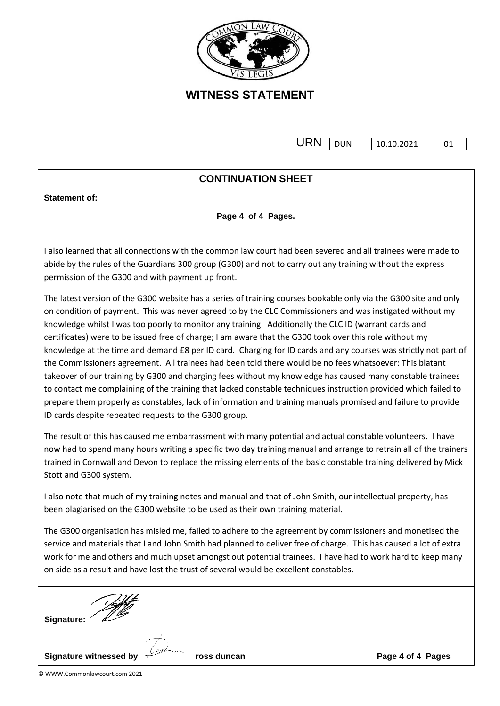

**URN** DUN 10.10.2021 01

#### **CONTINUATION SHEET**

**Statement of:** 

**Page 4 of 4 Pages.**

I also learned that all connections with the common law court had been severed and all trainees were made to abide by the rules of the Guardians 300 group (G300) and not to carry out any training without the express permission of the G300 and with payment up front.

The latest version of the G300 website has a series of training courses bookable only via the G300 site and only on condition of payment. This was never agreed to by the CLC Commissioners and was instigated without my knowledge whilst I was too poorly to monitor any training. Additionally the CLC ID (warrant cards and certificates) were to be issued free of charge; I am aware that the G300 took over this role without my knowledge at the time and demand £8 per ID card. Charging for ID cards and any courses was strictly not part of the Commissioners agreement. All trainees had been told there would be no fees whatsoever: This blatant takeover of our training by G300 and charging fees without my knowledge has caused many constable trainees to contact me complaining of the training that lacked constable techniques instruction provided which failed to prepare them properly as constables, lack of information and training manuals promised and failure to provide ID cards despite repeated requests to the G300 group.

The result of this has caused me embarrassment with many potential and actual constable volunteers. I have now had to spend many hours writing a specific two day training manual and arrange to retrain all of the trainers trained in Cornwall and Devon to replace the missing elements of the basic constable training delivered by Mick Stott and G300 system.

I also note that much of my training notes and manual and that of John Smith, our intellectual property, has been plagiarised on the G300 website to be used as their own training material.

The G300 organisation has misled me, failed to adhere to the agreement by commissioners and monetised the service and materials that I and John Smith had planned to deliver free of charge. This has caused a lot of extra work for me and others and much upset amongst out potential trainees. I have had to work hard to keep many on side as a result and have lost the trust of several would be excellent constables.